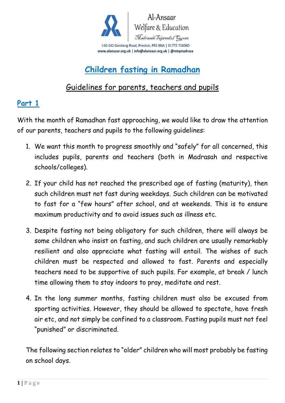

# **Children fasting in Ramadhan**

### Guidelines for parents, teachers and pupils

#### **Part 1**

With the month of Ramadhan fast approaching, we would like to draw the attention of our parents, teachers and pupils to the following guidelines:

- 1. We want this month to progress smoothly and "safely" for all concerned, this includes pupils, parents and teachers (both in Madrasah and respective schools/colleges).
- 2. If your child has not reached the prescribed age of fasting (maturity), then such children must not fast during weekdays. Such children can be motivated to fast for a "few hours" after school, and at weekends. This is to ensure maximum productivity and to avoid issues such as illness etc.
- 3. Despite fasting not being obligatory for such children, there will always be some children who insist on fasting, and such children are usually remarkably resilient and also appreciate what fasting will entail. The wishes of such children must be respected and allowed to fast. Parents and especially teachers need to be supportive of such pupils. For example, at break / lunch time allowing them to stay indoors to pray, meditate and rest.
- 4. In the long summer months, fasting children must also be excused from sporting activities. However, they should be allowed to spectate, have fresh air etc, and not simply be confined to a classroom. Fasting pupils must not feel "punished" or discriminated.

The following section relates to "older" children who will most probably be fasting on school days.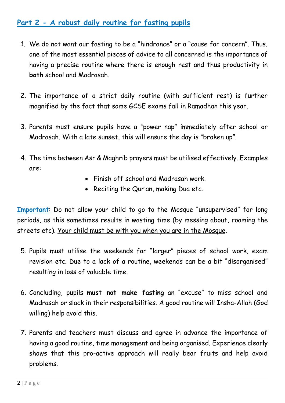#### **Part 2 - A robust daily routine for fasting pupils**

- 1. We do not want our fasting to be a "hindrance" or a "cause for concern". Thus, one of the most essential pieces of advice to all concerned is the importance of having a precise routine where there is enough rest and thus productivity in **both** school and Madrasah.
- 2. The importance of a strict daily routine (with sufficient rest) is further magnified by the fact that some GCSE exams fall in Ramadhan this year.
- 3. Parents must ensure pupils have a "power nap" immediately after school or Madrasah. With a late sunset, this will ensure the day is "broken up".
- 4. The time between Asr & Maghrib prayers must be utilised effectively. Examples are:
	- Finish off school and Madrasah work.
	- Reciting the Qur'an, making Dua etc.

**Important**: Do not allow your child to go to the Mosque "unsupervised" for long periods, as this sometimes results in wasting time (by messing about, roaming the streets etc). Your child must be with you when you are in the Mosque.

- 5. Pupils must utilise the weekends for "larger" pieces of school work, exam revision etc. Due to a lack of a routine, weekends can be a bit "disorganised" resulting in loss of valuable time.
- 6. Concluding, pupils **must not make fasting** an "excuse" to miss school and Madrasah or slack in their responsibilities. A good routine will Insha-Allah (God willing) help avoid this.
- 7. Parents and teachers must discuss and agree in advance the importance of having a good routine, time management and being organised. Experience clearly shows that this pro-active approach will really bear fruits and help avoid problems.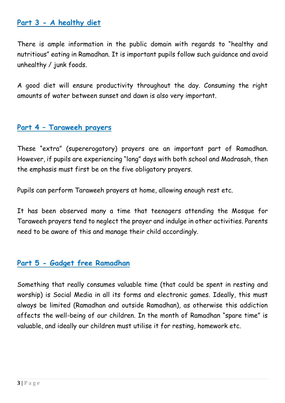#### **Part 3 - A healthy diet**

There is ample information in the public domain with regards to "healthy and nutritious" eating in Ramadhan. It is important pupils follow such guidance and avoid unhealthy / junk foods.

A good diet will ensure productivity throughout the day. Consuming the right amounts of water between sunset and dawn is also very important.

#### **Part 4 – Taraweeh prayers**

These "extra" (supererogatory) prayers are an important part of Ramadhan. However, if pupils are experiencing "long" days with both school and Madrasah, then the emphasis must first be on the five obligatory prayers.

Pupils can perform Taraweeh prayers at home, allowing enough rest etc.

It has been observed many a time that teenagers attending the Mosque for Taraweeh prayers tend to neglect the prayer and indulge in other activities. Parents need to be aware of this and manage their child accordingly.

#### **Part 5 - Gadget free Ramadhan**

Something that really consumes valuable time (that could be spent in resting and worship) is Social Media in all its forms and electronic games. Ideally, this must always be limited (Ramadhan and outside Ramadhan), as otherwise this addiction affects the well-being of our children. In the month of Ramadhan "spare time" is valuable, and ideally our children must utilise it for resting, homework etc.